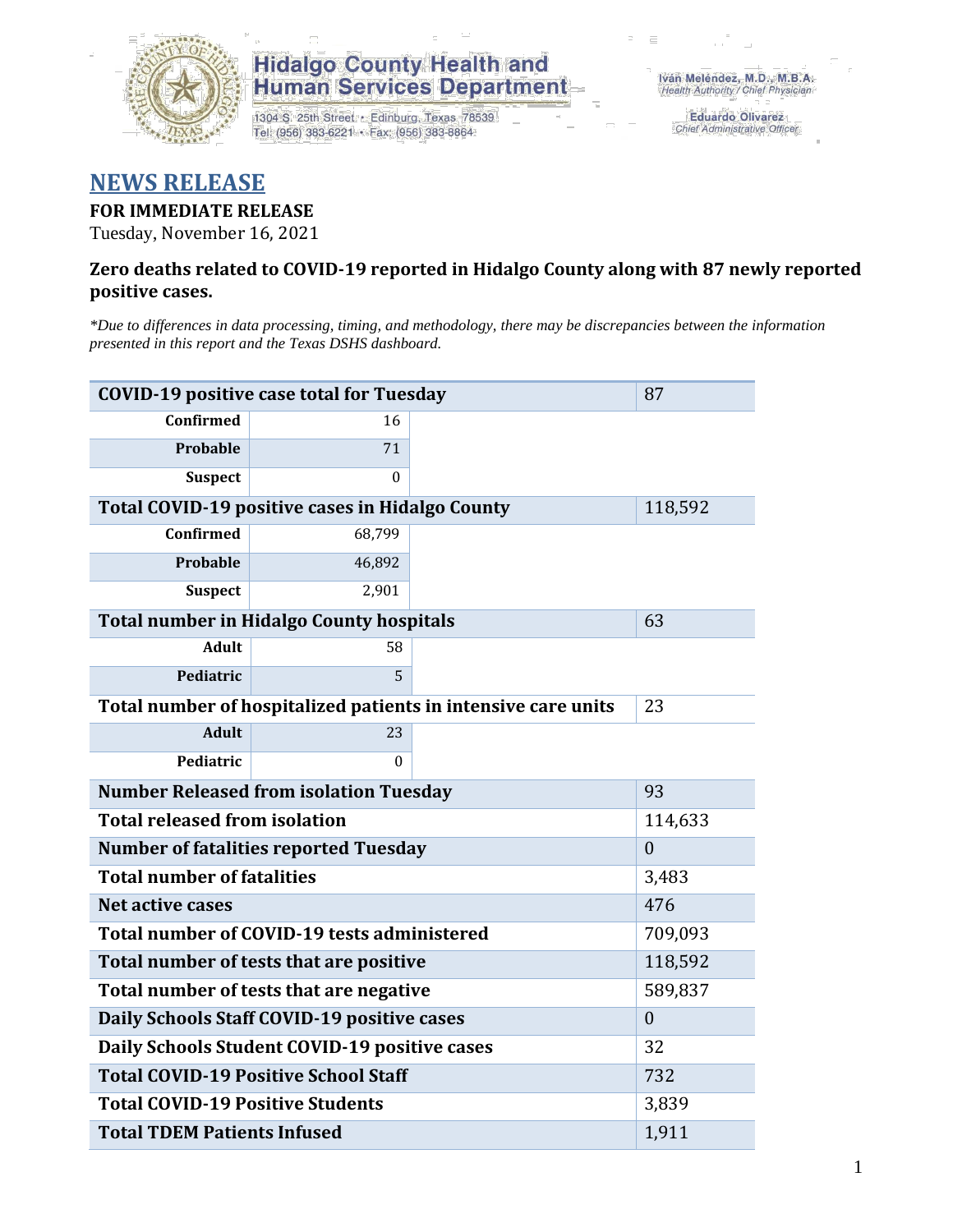

## **Hidalgo County Health and** Human Services Department

1304 S. 25th Street · Edinburg, Texas 78539 Tel: (956) 383-6221 · Fax: (956) 383-8864

**Eduardo Olivarez** Chief Administrative Officer

## **NEWS RELEASE**

### **FOR IMMEDIATE RELEASE**

Tuesday, November 16, 2021

#### **Zero deaths related to COVID-19 reported in Hidalgo County along with 87 newly reported positive cases.**

*\*Due to differences in data processing, timing, and methodology, there may be discrepancies between the information presented in this report and the Texas DSHS dashboard.*

| <b>COVID-19 positive case total for Tuesday</b>               | 87                                              |  |         |
|---------------------------------------------------------------|-------------------------------------------------|--|---------|
| <b>Confirmed</b>                                              | 16                                              |  |         |
| <b>Probable</b>                                               | 71                                              |  |         |
| <b>Suspect</b>                                                | $\theta$                                        |  |         |
|                                                               | Total COVID-19 positive cases in Hidalgo County |  | 118,592 |
| <b>Confirmed</b>                                              | 68,799                                          |  |         |
| Probable                                                      | 46,892                                          |  |         |
| <b>Suspect</b>                                                | 2,901                                           |  |         |
|                                                               | <b>Total number in Hidalgo County hospitals</b> |  | 63      |
| <b>Adult</b>                                                  | 58                                              |  |         |
| Pediatric                                                     | 5                                               |  |         |
| Total number of hospitalized patients in intensive care units | 23                                              |  |         |
| <b>Adult</b>                                                  | 23                                              |  |         |
| Pediatric                                                     | $\theta$                                        |  |         |
| <b>Number Released from isolation Tuesday</b>                 | 93                                              |  |         |
| <b>Total released from isolation</b>                          | 114,633                                         |  |         |
| <b>Number of fatalities reported Tuesday</b>                  | $\overline{0}$                                  |  |         |
| <b>Total number of fatalities</b>                             | 3,483                                           |  |         |
| Net active cases                                              |                                                 |  | 476     |
| Total number of COVID-19 tests administered                   | 709,093                                         |  |         |
| Total number of tests that are positive                       | 118,592                                         |  |         |
| Total number of tests that are negative                       | 589,837                                         |  |         |
| Daily Schools Staff COVID-19 positive cases                   | $\mathbf{0}$                                    |  |         |
| Daily Schools Student COVID-19 positive cases                 | 32                                              |  |         |
| <b>Total COVID-19 Positive School Staff</b>                   | 732                                             |  |         |
| <b>Total COVID-19 Positive Students</b>                       | 3,839                                           |  |         |
| <b>Total TDEM Patients Infused</b>                            | 1,911                                           |  |         |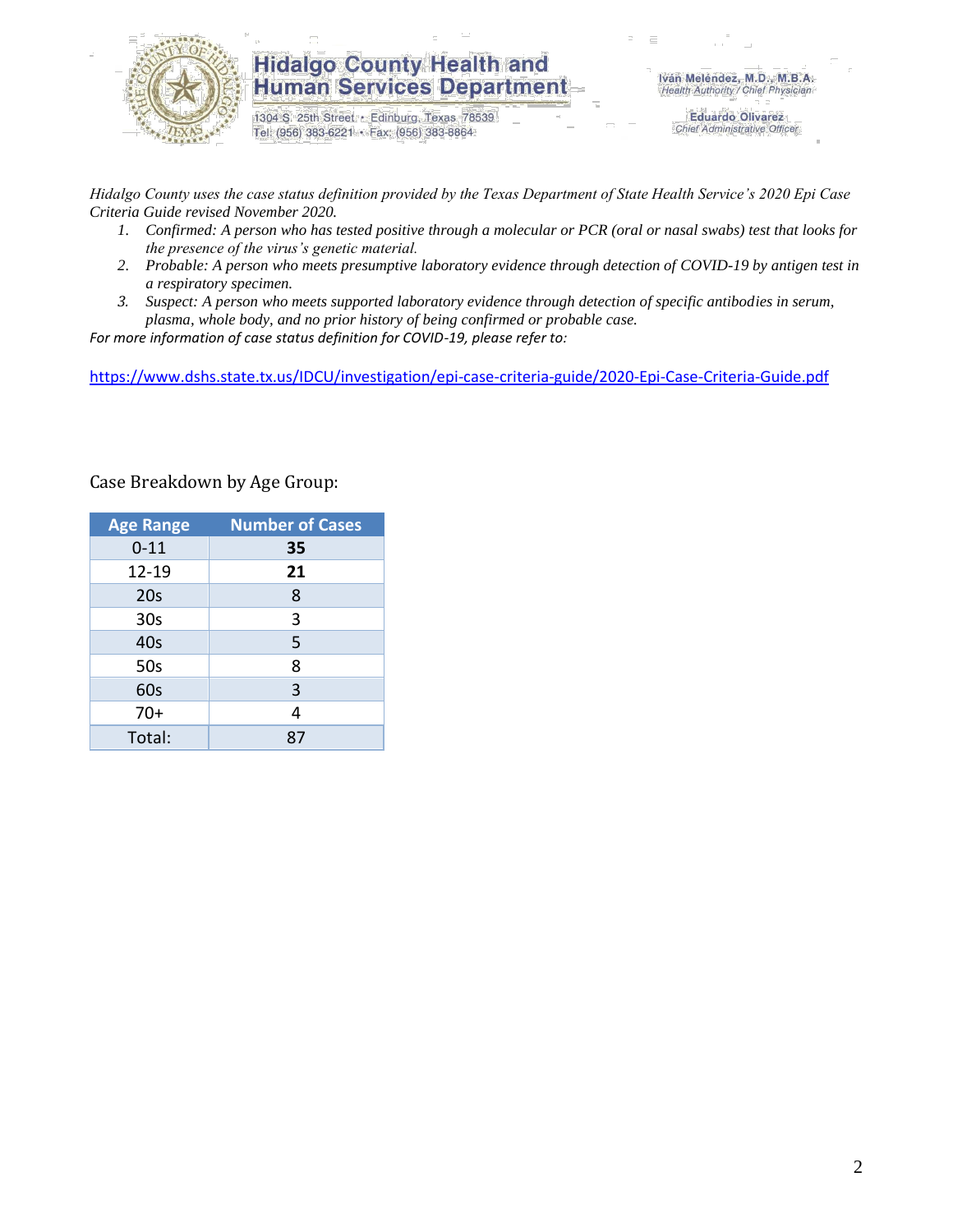

## **Hidalgo County Health and Human Services Department**

1304 S. 25th Street · Edinburg, Texas 78539 Tel: (956) 383-6221 · Fax: (956) 383-8864

**Eduardo Olivarez** Chief Administrative Officer

*Hidalgo County uses the case status definition provided by the Texas Department of State Health Service's 2020 Epi Case Criteria Guide revised November 2020.*

- *1. Confirmed: A person who has tested positive through a molecular or PCR (oral or nasal swabs) test that looks for the presence of the virus's genetic material.*
- *2. Probable: A person who meets presumptive laboratory evidence through detection of COVID-19 by antigen test in a respiratory specimen.*
- *3. Suspect: A person who meets supported laboratory evidence through detection of specific antibodies in serum, plasma, whole body, and no prior history of being confirmed or probable case.*

*For more information of case status definition for COVID-19, please refer to:*

<https://www.dshs.state.tx.us/IDCU/investigation/epi-case-criteria-guide/2020-Epi-Case-Criteria-Guide.pdf>

| <b>Age Range</b> | <b>Number of Cases</b> |
|------------------|------------------------|
| $0 - 11$         | 35                     |
| 12-19            | 21                     |
| 20s              | 8                      |
| 30 <sub>s</sub>  | 3                      |
| 40s              | 5                      |
| 50s              | 8                      |
| 60s              | 3                      |
| $70+$            | 4                      |
| Total:           | R.                     |

Case Breakdown by Age Group: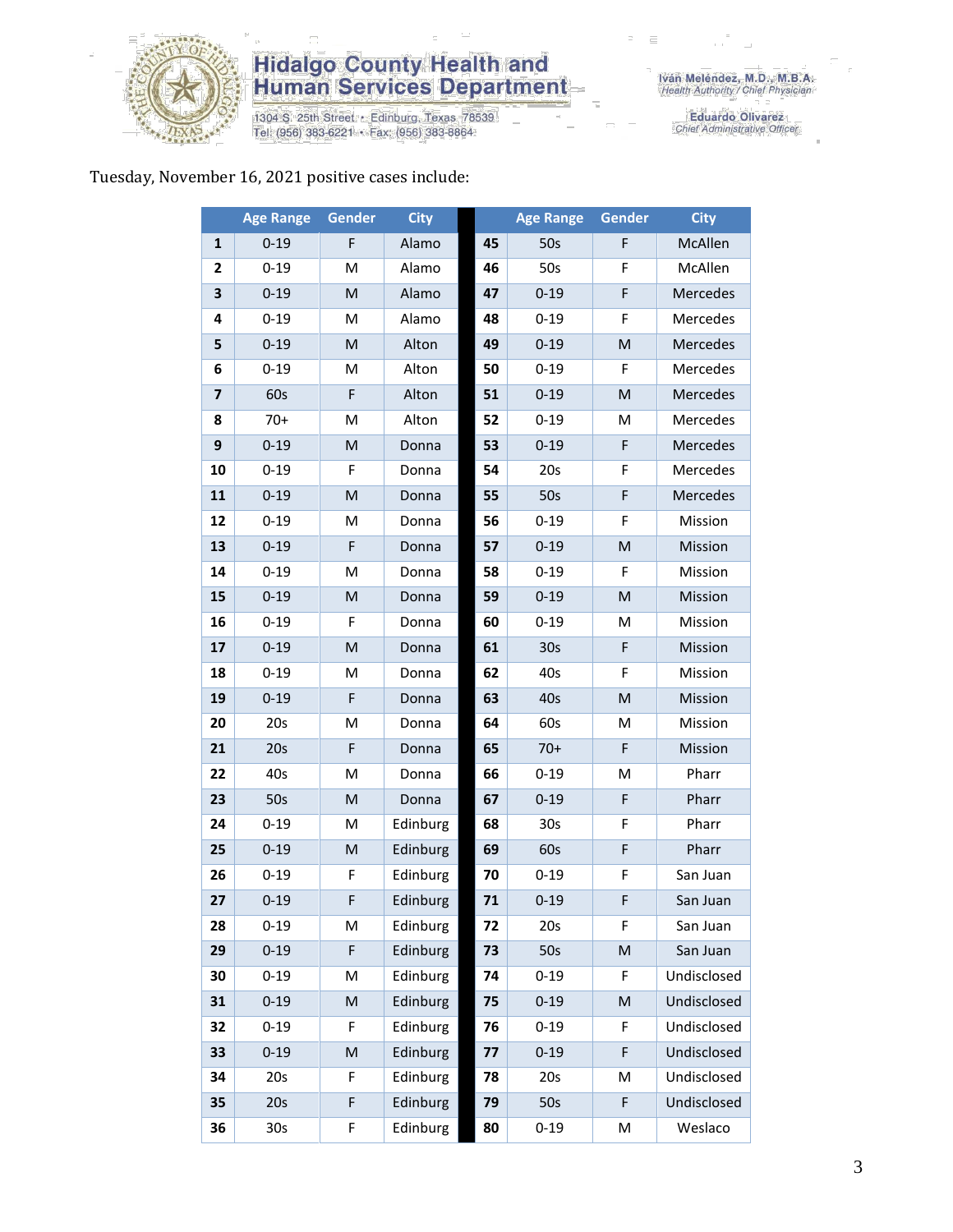

## **Hidalgo County Health and<br>Human Services Department**

1304 S. 25th Street • Edinburg, Texas 78539<br>Tel: (956) 383-6221 • Fax: (956) 383-8864

Eduardo Olivarez<br>Chief Administrative Officer

#### Tuesday, November 16, 2021 positive cases include:

|                         | <b>Age Range</b> | Gender      | <b>City</b> |    | <b>Age Range</b> | <b>Gender</b> | <b>City</b> |
|-------------------------|------------------|-------------|-------------|----|------------------|---------------|-------------|
| $\mathbf{1}$            | $0 - 19$         | F           | Alamo       | 45 | 50s              | F             | McAllen     |
| $\mathbf{2}$            | $0 - 19$         | M           | Alamo       | 46 | 50s              | F             | McAllen     |
| 3                       | $0 - 19$         | M           | Alamo       | 47 | $0 - 19$         | F             | Mercedes    |
| 4                       | $0 - 19$         | M           | Alamo       | 48 | $0 - 19$         | F             | Mercedes    |
| 5                       | $0 - 19$         | M           | Alton       | 49 | $0 - 19$         | M             | Mercedes    |
| 6                       | $0 - 19$         | M           | Alton       | 50 | $0 - 19$         | F             | Mercedes    |
| $\overline{\mathbf{z}}$ | 60s              | F           | Alton       | 51 | $0 - 19$         | M             | Mercedes    |
| 8                       | $70+$            | M           | Alton       | 52 | $0 - 19$         | M             | Mercedes    |
| 9                       | $0 - 19$         | M           | Donna       | 53 | $0 - 19$         | F             | Mercedes    |
| 10                      | $0 - 19$         | F           | Donna       | 54 | 20s              | F             | Mercedes    |
| 11                      | $0 - 19$         | M           | Donna       | 55 | 50s              | F             | Mercedes    |
| 12                      | $0 - 19$         | M           | Donna       | 56 | $0 - 19$         | F             | Mission     |
| 13                      | $0 - 19$         | F           | Donna       | 57 | $0 - 19$         | M             | Mission     |
| 14                      | $0 - 19$         | M           | Donna       | 58 | $0 - 19$         | F             | Mission     |
| 15                      | $0 - 19$         | M           | Donna       | 59 | $0 - 19$         | M             | Mission     |
| 16                      | $0 - 19$         | F           | Donna       | 60 | $0 - 19$         | M             | Mission     |
| 17                      | $0 - 19$         | ${\sf M}$   | Donna       | 61 | 30 <sub>s</sub>  | F             | Mission     |
| 18                      | $0 - 19$         | M           | Donna       | 62 | 40s              | F             | Mission     |
| 19                      | $0 - 19$         | $\mathsf F$ | Donna       | 63 | 40s              | M             | Mission     |
| 20                      | 20s              | M           | Donna       | 64 | 60s              | M             | Mission     |
| 21                      | 20s              | F           | Donna       | 65 | $70+$            | F             | Mission     |
| 22                      | 40s              | M           | Donna       | 66 | $0 - 19$         | M             | Pharr       |
| 23                      | 50s              | M           | Donna       | 67 | $0 - 19$         | F             | Pharr       |
| 24                      | $0 - 19$         | M           | Edinburg    | 68 | 30 <sub>s</sub>  | F             | Pharr       |
| 25                      | $0 - 19$         | M           | Edinburg    | 69 | 60s              | F             | Pharr       |
| 26                      | $0 - 19$         | F           | Edinburg    | 70 | $0 - 19$         | F             | San Juan    |
| 27                      | $0 - 19$         | F           | Edinburg    | 71 | $0 - 19$         | F             | San Juan    |
| 28                      | $0 - 19$         | М           | Edinburg    | 72 | 20s              | F             | San Juan    |
| 29                      | $0 - 19$         | F           | Edinburg    | 73 | 50s              | ${\sf M}$     | San Juan    |
| 30                      | $0 - 19$         | M           | Edinburg    | 74 | $0 - 19$         | F             | Undisclosed |
| 31                      | $0 - 19$         | ${\sf M}$   | Edinburg    | 75 | $0 - 19$         | M             | Undisclosed |
| 32                      | $0 - 19$         | F           | Edinburg    | 76 | $0 - 19$         | F             | Undisclosed |
| 33                      | $0 - 19$         | M           | Edinburg    | 77 | $0 - 19$         | F             | Undisclosed |
| 34                      | 20s              | F           | Edinburg    | 78 | 20s              | M             | Undisclosed |
| 35                      | 20s              | F           | Edinburg    | 79 | 50s              | F             | Undisclosed |
| 36                      | 30 <sub>s</sub>  | F           | Edinburg    | 80 | $0 - 19$         | M             | Weslaco     |